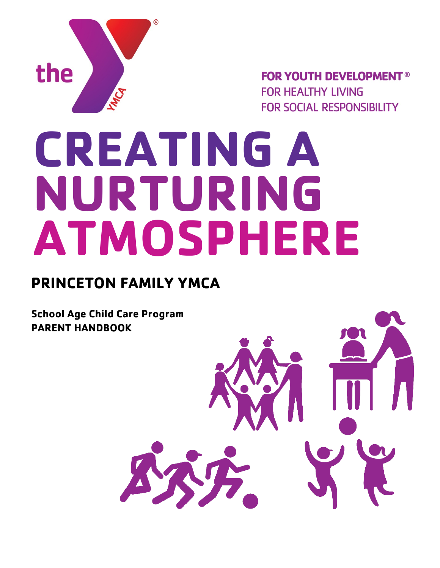

**FOR YOUTH DEVELOPMENT® FOR HEALTHY LIVING FOR SOCIAL RESPONSIBILITY** 

# **CREATING A NURTURING ATMOSPHERE**

## **PRINCETON FAMILY YMCA**

**School Age Child Care Program PARENT HANDBOOK**

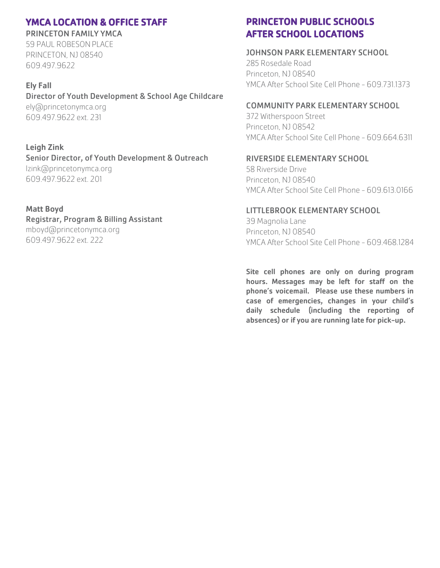## YMCA LOCATION & OFFICE STAFF

PRINCETON FAMILY YMCA 59 PAUL ROBESONPLACE PRINCETON, NJ 08540 609.497.9622

#### Ely Fall

#### Director of Youth Development & School Age Childcare

ely@princetonymca.org 609.497.9622 ext. 231

## Leigh Zink

Senior Director, of Youth Development & Outreach lzink@princetonymca.org 609.497.9622 ext. 201

#### Matt Boyd

### Registrar, Program & Billing Assistant

mboyd@princetonymca.org 609.497.9622 ext. 222

## PRINCETON PUBLIC SCHOOLS AFTER SCHOOL LOCATIONS

#### JOHNSON PARK ELEMENTARY SCHOOL

285 Rosedale Road Princeton, NJ 08540 YMCA After School Site Cell Phone - 609.731.1373

#### COMMUNITY PARK ELEMENTARY SCHOOL

372 Witherspoon Street Princeton, NJ 08542 YMCA After School Site Cell Phone - 609.664.6311

#### RIVERSIDE ELEMENTARY SCHOOL

58 Riverside Drive Princeton, NJ 08540 YMCA After School Site Cell Phone - 609.613.0166

#### LITTLEBROOK ELEMENTARY SCHOOL

39 Magnolia Lane Princeton, NJ 08540 YMCA After School Site Cell Phone - 609.468.1284

Site cell phones are only on during program hours. Messages may be left for staff on the phone's voicemail. Please use these numbers in case of emergencies, changes in your child's daily schedule (including the reporting of absences) or if you are running late for pick-up.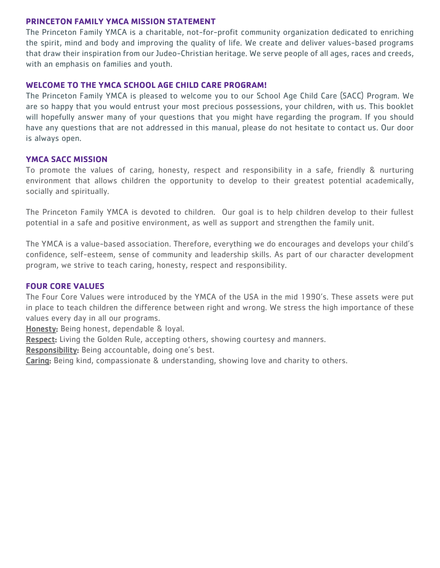#### **PRINCETON FAMILY YMCA MISSION STATEMENT**

The Princeton Family YMCA is a charitable, not-for-profit community organization dedicated to enriching the spirit, mind and body and improving the quality of life. We create and deliver values-based programs that draw their inspiration from our Judeo-Christian heritage. We serve people of all ages, races and creeds, with an emphasis on families and youth.

#### **WELCOME TO THE YMCA SCHOOL AGE CHILD CARE PROGRAM!**

The Princeton Family YMCA is pleased to welcome you to our School Age Child Care (SACC) Program. We are so happy that you would entrust your most precious possessions, your children, with us. This booklet will hopefully answer many of your questions that you might have regarding the program. If you should have any questions that are not addressed in this manual, please do not hesitate to contact us. Our door is always open.

#### **YMCA SACC MISSION**

To promote the values of caring, honesty, respect and responsibility in a safe, friendly & nurturing environment that allows children the opportunity to develop to their greatest potential academically, socially and spiritually.

The Princeton Family YMCA is devoted to children. Our goal is to help children develop to their fullest potential in a safe and positive environment, as well as support and strengthen the family unit.

The YMCA is a value-based association. Therefore, everything we do encourages and develops your child's confidence, self-esteem, sense of community and leadership skills. As part of our character development program, we strive to teach caring, honesty, respect and responsibility.

#### **FOUR CORE VALUES**

The Four Core Values were introduced by the YMCA of the USA in the mid 1990's. These assets were put in place to teach children the difference between right and wrong. We stress the high importance of these values every day in all our programs.

Honesty: Being honest, dependable & loyal.

**Respect:** Living the Golden Rule, accepting others, showing courtesy and manners.

Responsibility: Being accountable, doing one's best.

Caring: Being kind, compassionate & understanding, showing love and charity to others.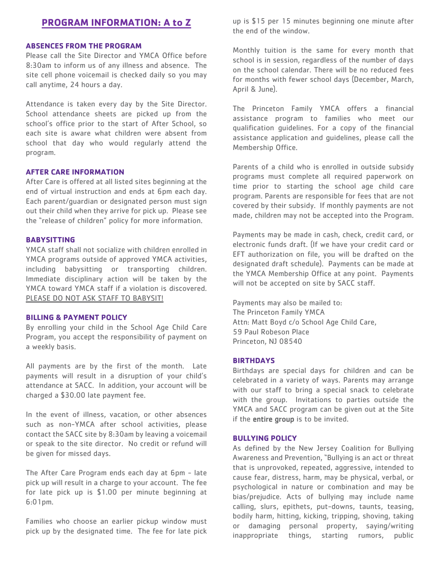## **PROGRAM INFORMATION: A to Z**

#### **ABSENCES FROM THE PROGRAM**

Please call the Site Director and YMCA Office before 8:30am to inform us of any illness and absence. The site cell phone voicemail is checked daily so you may call anytime, 24 hours a day.

Attendance is taken every day by the Site Director. School attendance sheets are picked up from the school's office prior to the start of After School, so each site is aware what children were absent from school that day who would regularly attend the program.

#### **AFTER CARE INFORMATION**

After Care is offered at all listed sites beginning at the end of virtual instruction and ends at 6pm each day. Each parent/guardian or designated person must sign out their child when they arrive for pick up. Please see the "release of children" policy for more information.

#### **BABYSITTING**

YMCA staff shall not socialize with children enrolled in YMCA programs outside of approved YMCA activities, including babysitting or transporting children. Immediate disciplinary action will be taken by the YMCA toward YMCA staff if a violation is discovered. PLEASE DO NOT ASK STAFF TO BABYSIT!

#### **BILLING & PAYMENT POLICY**

By enrolling your child in the School Age Child Care Program, you accept the responsibility of payment on a weekly basis.

All payments are by the first of the month. Late payments will result in a disruption of your child's attendance at SACC. In addition, your account will be charged a \$30.00 late payment fee.

In the event of illness, vacation, or other absences such as non-YMCA after school activities, please contact the SACC site by 8:30am by leaving a voicemail or speak to the site director. No credit or refund will be given for missed days.

The After Care Program ends each day at 6pm - late pick up will result in a charge to your account. The fee for late pick up is \$1.00 per minute beginning at 6:01pm.

Families who choose an earlier pickup window must pick up by the designated time. The fee for late pick

up is \$15 per 15 minutes beginning one minute after the end of the window.

Monthly tuition is the same for every month that school is in session, regardless of the number of days on the school calendar. There will be no reduced fees for months with fewer school days (December, March, April & June).

The Princeton Family YMCA offers a financial assistance program to families who meet our qualification guidelines. For a copy of the financial assistance application and guidelines, please call the Membership Office.

Parents of a child who is enrolled in outside subsidy programs must complete all required paperwork on time prior to starting the school age child care program. Parents are responsible for fees that are not covered by their subsidy. If monthly payments are not made, children may not be accepted into the Program.

Payments may be made in cash, check, credit card, or electronic funds draft. (If we have your credit card or EFT authorization on file, you will be drafted on the designated draft schedule). Payments can be made at the YMCA Membership Office at any point. Payments will not be accepted on site by SACC staff.

Payments may also be mailed to: The Princeton Family YMCA Attn: Matt Boyd c/o School Age Child Care, 59 Paul Robeson Place Princeton, NJ 08540

#### **BIRTHDAYS**

Birthdays are special days for children and can be celebrated in a variety of ways. Parents may arrange with our staff to bring a special snack to celebrate with the group. Invitations to parties outside the YMCA and SACC program can be given out at the Site if the **entire group** is to be invited.

#### **BULLYING POLICY**

As defined by the New Jersey Coalition for Bullying Awareness and Prevention, "Bullying is an act or threat that is unprovoked, repeated, aggressive, intended to cause fear, distress, harm, may be physical, verbal, or psychological in nature or combination and may be bias/prejudice. Acts of bullying may include name calling, slurs, epithets, put-downs, taunts, teasing, bodily harm, hitting, kicking, tripping, shoving, taking or damaging personal property, saying/writing inappropriate things, starting rumors, public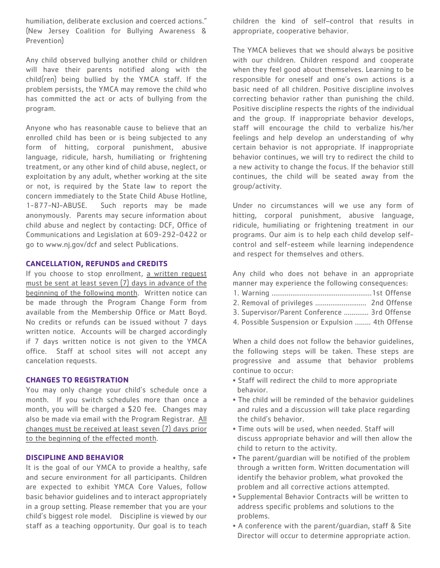humiliation, deliberate exclusion and coerced actions." (New Jersey Coalition for Bullying Awareness & Prevention)

Any child observed bullying another child or children will have their parents notified along with the child(ren) being bullied by the YMCA staff. If the problem persists, the YMCA may remove the child who has committed the act or acts of bullying from the program.

Anyone who has reasonable cause to believe that an enrolled child has been or is being subjected to any form of hitting, corporal punishment, abusive language, ridicule, harsh, humiliating or frightening treatment, or any other kind of child abuse, neglect, or exploitation by any adult, whether working at the site or not, is required by the State law to report the concern immediately to the State Child Abuse Hotline, 1-877-NJ-ABUSE. Such reports may be made anonymously. Parents may secure information about child abuse and neglect by contacting: DCF, Office of Communications and Legislation at 609-292-0422 or go to www.nj.gov/dcf and select Publications.

#### **CANCELLATION, REFUNDS and CREDITS**

If you choose to stop enrollment, a written request must be sent at least seven (7) days in advance of the beginning of the following month. Written notice can be made through the Program Change Form from available from the Membership Office or Matt Boyd. No credits or refunds can be issued without 7 days written notice. Accounts will be charged accordingly if 7 days written notice is not given to the YMCA office. Staff at school sites will not accept any cancelation requests.

#### **CHANGES TO REGISTRATION**

You may only change your child's schedule once a month. If you switch schedules more than once a month, you will be charged a \$20 fee. Changes may also be made via email with the Program Registrar. All changes must be received at least seven (7) days prior to the beginning of the effected month.

#### **DISCIPLINE AND BEHAVIOR**

It is the goal of our YMCA to provide a healthy, safe and secure environment for all participants. Children are expected to exhibit YMCA Core Values, follow basic behavior guidelines and to interact appropriately in a group setting. Please remember that you are your child's biggest role model. Discipline is viewed by our staff as a teaching opportunity. Our goal is to teach children the kind of self–control that results in appropriate, cooperative behavior.

The YMCA believes that we should always be positive with our children. Children respond and cooperate when they feel good about themselves. Learning to be responsible for oneself and one's own actions is a basic need of all children. Positive discipline involves correcting behavior rather than punishing the child. Positive discipline respects the rights of the individual and the group. If inappropriate behavior develops, staff will encourage the child to verbalize his/her feelings and help develop an understanding of why certain behavior is not appropriate. If inappropriate behavior continues, we will try to redirect the child to a new activity to change the focus. If the behavior still continues, the child will be seated away from the group/activity.

Under no circumstances will we use any form of hitting, corporal punishment, abusive language, ridicule, humiliating or frightening treatment in our programs. Our aim is to help each child develop selfcontrol and self-esteem while learning independence and respect for themselves and others.

Any child who does not behave in an appropriate manner may experience the following consequences:

- 1. Warning .....................................................1st Offense
- 2. Removal of privileges ........................... 2nd Offense
- 3. Supervisor/Parent Conference ............. 3rd Offense
- 4. Possible Suspension or Expulsion …….. 4th Offense

When a child does not follow the behavior guidelines, the following steps will be taken. These steps are progressive and assume that behavior problems continue to occur:

- Staff will redirect the child to more appropriate behavior.
- The child will be reminded of the behavior guidelines and rules and a discussion will take place regarding the child's behavior.
- Time outs will be used, when needed. Staff will discuss appropriate behavior and will then allow the child to return to the activity.
- The parent/guardian will be notified of the problem through a written form. Written documentation will identify the behavior problem, what provoked the problem and all corrective actions attempted.
- Supplemental Behavior Contracts will be written to address specific problems and solutions to the problems.
- A conference with the parent/guardian, staff & Site Director will occur to determine appropriate action.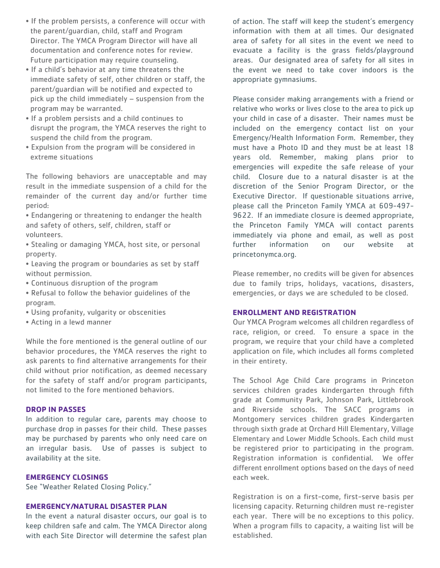- If the problem persists, a conference will occur with the parent/guardian, child, staff and Program Director. The YMCA Program Director will have all documentation and conference notes for review. Future participation may require counseling.
- If a child's behavior at any time threatens the immediate safety of self, other children or staff, the parent/guardian will be notified and expected to pick up the child immediately – suspension from the program may be warranted.
- If a problem persists and a child continues to disrupt the program, the YMCA reserves the right to suspend the child from the program.
- Expulsion from the program will be considered in extreme situations

The following behaviors are unacceptable and may result in the immediate suspension of a child for the remainder of the current day and/or further time period:

• Endangering or threatening to endanger the health and safety of others, self, children, staff or volunteers.

• Stealing or damaging YMCA, host site, or personal property.

• Leaving the program or boundaries as set by staff without permission.

- Continuous disruption of the program
- Refusal to follow the behavior guidelines of the program.
- Using profanity, vulgarity or obscenities
- Acting in a lewd manner

While the fore mentioned is the general outline of our behavior procedures, the YMCA reserves the right to ask parents to find alternative arrangements for their child without prior notification, as deemed necessary for the safety of staff and/or program participants, not limited to the fore mentioned behaviors.

#### **DROP IN PASSES**

In addition to regular care, parents may choose to purchase drop in passes for their child. These passes may be purchased by parents who only need care on an irregular basis. Use of passes is subject to availability at the site.

#### **EMERGENCY CLOSINGS**

See "Weather Related Closing Policy."

#### **EMERGENCY/NATURAL DISASTER PLAN**

In the event a natural disaster occurs, our goal is to keep children safe and calm. The YMCA Director along with each Site Director will determine the safest plan of action. The staff will keep the student's emergency information with them at all times. Our designated area of safety for all sites in the event we need to evacuate a facility is the grass fields/playground areas. Our designated area of safety for all sites in the event we need to take cover indoors is the appropriate gymnasiums.

Please consider making arrangements with a friend or relative who works or lives close to the area to pick up your child in case of a disaster. Their names must be included on the emergency contact list on your Emergency/Health Information Form. Remember, they must have a Photo ID and they must be at least 18 years old. Remember, making plans prior to emergencies will expedite the safe release of your child. Closure due to a natural disaster is at the discretion of the Senior Program Director, or the Executive Director. If questionable situations arrive, please call the Princeton Family YMCA at 609-497- 9622. If an immediate closure is deemed appropriate, the Princeton Family YMCA will contact parents immediately via phone and email, as well as post further information on our website at princetonymca.org.

Please remember, no credits will be given for absences due to family trips, holidays, vacations, disasters, emergencies, or days we are scheduled to be closed.

#### **ENROLLMENT AND REGISTRATION**

Our YMCA Program welcomes all children regardless of race, religion, or creed. To ensure a space in the program, we require that your child have a completed application on file, which includes all forms completed in their entirety.

The School Age Child Care programs in Princeton services children grades kindergarten through fifth grade at Community Park, Johnson Park, Littlebrook and Riverside schools. The SACC programs in Montgomery services children grades Kindergarten through sixth grade at Orchard Hill Elementary, Village Elementary and Lower Middle Schools. Each child must be registered prior to participating in the program. Registration information is confidential. We offer different enrollment options based on the days of need each week.

Registration is on a first-come, first-serve basis per licensing capacity. Returning children must re-register each year. There will be no exceptions to this policy. When a program fills to capacity, a waiting list will be established.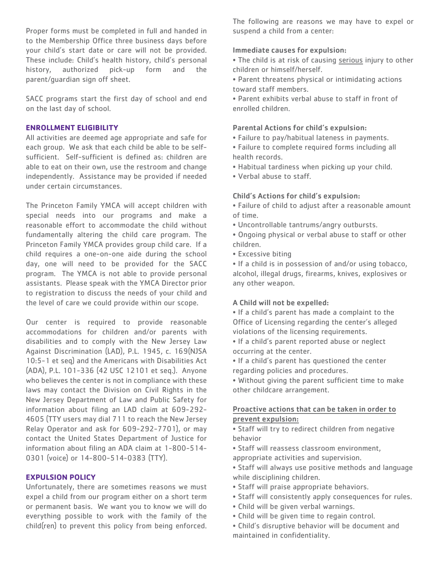Proper forms must be completed in full and handed in to the Membership Office three business days before your child's start date or care will not be provided. These include: Child's health history, child's personal history, authorized pick-up form and the parent/guardian sign off sheet.

SACC programs start the first day of school and end on the last day of school.

#### **ENROLLMENT ELIGIBILITY**

All activities are deemed age appropriate and safe for each group. We ask that each child be able to be selfsufficient. Self-sufficient is defined as: children are able to eat on their own, use the restroom and change independently. Assistance may be provided if needed under certain circumstances.

The Princeton Family YMCA will accept children with special needs into our programs and make a reasonable effort to accommodate the child without fundamentally altering the child care program. The Princeton Family YMCA provides group child care. If a child requires a one-on-one aide during the school day, one will need to be provided for the SACC program. The YMCA is not able to provide personal assistants. Please speak with the YMCA Director prior to registration to discuss the needs of your child and the level of care we could provide within our scope.

Our center is required to provide reasonable accommodations for children and/or parents with disabilities and to comply with the New Jersey Law Against Discrimination (LAD), P.L. 1945, c. 169(NJSA 10:5-1 et seq) and the Americans with Disabilities Act (ADA), P.L. 101-336 (42 USC 12101 et seq.). Anyone who believes the center is not in compliance with these laws may contact the Division on Civil Rights in the New Jersey Department of Law and Public Safety for information about filing an LAD claim at 609-292- 4605 (TTY users may dial 711 to reach the New Jersey Relay Operator and ask for 609-292-7701), or may contact the United States Department of Justice for information about filing an ADA claim at 1-800-514- 0301 (voice) or 14-800-514-0383 (TTY).

#### **EXPULSION POLICY**

Unfortunately, there are sometimes reasons we must expel a child from our program either on a short term or permanent basis. We want you to know we will do everything possible to work with the family of the child(ren) to prevent this policy from being enforced.

The following are reasons we may have to expel or suspend a child from a center:

#### Immediate causes for expulsion:

- The child is at risk of causing serious injury to other children or himself/herself.
- Parent threatens physical or intimidating actions toward staff members.
- Parent exhibits verbal abuse to staff in front of enrolled children.

#### Parental Actions for child's expulsion:

- Failure to pay/habitual lateness in payments.
- Failure to complete required forms including all health records.
- Habitual tardiness when picking up your child.
- Verbal abuse to staff.

#### Child's Actions for child's expulsion:

- Failure of child to adjust after a reasonable amount of time.
- Uncontrollable tantrums/angry outbursts.
- Ongoing physical or verbal abuse to staff or other children.
- Excessive biting

• If a child is in possession of and/or using tobacco, alcohol, illegal drugs, firearms, knives, explosives or any other weapon.

#### A Child will not be expelled:

- If a child's parent has made a complaint to the Office of Licensing regarding the center's alleged violations of the licensing requirements.
- If a child's parent reported abuse or neglect occurring at the center.
- If a child's parent has questioned the center regarding policies and procedures.
- Without giving the parent sufficient time to make other childcare arrangement.

#### Proactive actions that can be taken in order to prevent expulsion:

- Staff will try to redirect children from negative behavior
- Staff will reassess classroom environment, appropriate activities and supervision.
- Staff will always use positive methods and language while disciplining children.
- Staff will praise appropriate behaviors.
- Staff will consistently apply consequences for rules.
- Child will be given verbal warnings.
- Child will be given time to regain control.
- Child's disruptive behavior will be document and maintained in confidentiality.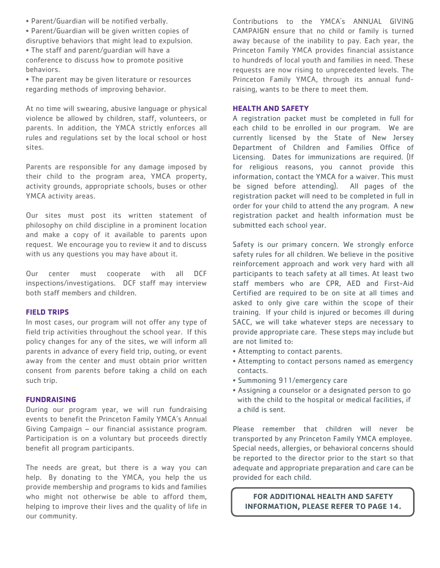• Parent/Guardian will be notified verbally.

• Parent/Guardian will be given written copies of disruptive behaviors that might lead to expulsion.

• The staff and parent/guardian will have a conference to discuss how to promote positive behaviors.

• The parent may be given literature or resources regarding methods of improving behavior.

At no time will swearing, abusive language or physical violence be allowed by children, staff, volunteers, or parents. In addition, the YMCA strictly enforces all rules and regulations set by the local school or host sites.

Parents are responsible for any damage imposed by their child to the program area, YMCA property, activity grounds, appropriate schools, buses or other YMCA activity areas.

Our sites must post its written statement of philosophy on child discipline in a prominent location and make a copy of it available to parents upon request. We encourage you to review it and to discuss with us any questions you may have about it.

Our center must cooperate with all DCF inspections/investigations. DCF staff may interview both staff members and children.

#### **FIELD TRIPS**

In most cases, our program will not offer any type of field trip activities throughout the school year. If this policy changes for any of the sites, we will inform all parents in advance of every field trip, outing, or event away from the center and must obtain prior written consent from parents before taking a child on each such trip.

#### **FUNDRAISING**

During our program year, we will run fundraising events to benefit the Princeton Family YMCA's Annual Giving Campaign – our financial assistance program. Participation is on a voluntary but proceeds directly benefit all program participants.

The needs are great, but there is a way you can help. By donating to the YMCA, you help the us provide membership and programs to kids and families who might not otherwise be able to afford them, helping to improve their lives and the quality of life in our community.

Contributions to the YMCA's ANNUAL GIVING CAMPAIGN ensure that no child or family is turned away because of the inability to pay. Each year, the Princeton Family YMCA provides financial assistance to hundreds of local youth and families in need. These requests are now rising to unprecedented levels. The Princeton Family YMCA, through its annual fundraising, wants to be there to meet them.

#### **HEALTH AND SAFETY**

A registration packet must be completed in full for each child to be enrolled in our program. We are currently licensed by the State of New Jersey Department of Children and Families Office of Licensing. Dates for immunizations are required. (If for religious reasons, you cannot provide this information, contact the YMCA for a waiver. This must be signed before attending). All pages of the registration packet will need to be completed in full in order for your child to attend the any program. A new registration packet and health information must be submitted each school year.

Safety is our primary concern. We strongly enforce safety rules for all children. We believe in the positive reinforcement approach and work very hard with all participants to teach safety at all times. At least two staff members who are CPR, AED and First-Aid Certified are required to be on site at all times and asked to only give care within the scope of their training. If your child is injured or becomes ill during SACC, we will take whatever steps are necessary to provide appropriate care. These steps may include but are not limited to:

- Attempting to contact parents.
- Attempting to contact persons named as emergency contacts.
- Summoning 911/emergency care
- Assigning a counselor or a designated person to go with the child to the hospital or medical facilities, if a child is sent.

Please remember that children will never be transported by any Princeton Family YMCA employee. Special needs, allergies, or behavioral concerns should be reported to the director prior to the start so that adequate and appropriate preparation and care can be provided for each child.

**FOR ADDITIONAL HEALTH AND SAFETY INFORMATION, PLEASE REFER TO PAGE 14.**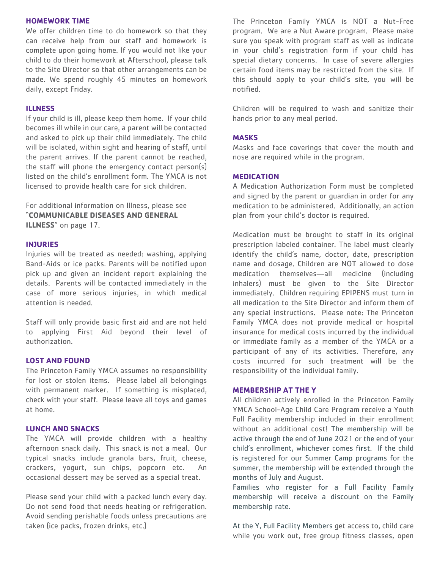#### **HOMEWORK TIME**

We offer children time to do homework so that they can receive help from our staff and homework is complete upon going home. If you would not like your child to do their homework at Afterschool, please talk to the Site Director so that other arrangements can be made. We spend roughly 45 minutes on homework daily, except Friday.

#### **ILLNESS**

If your child is ill, please keep them home. If your child becomes ill while in our care, a parent will be contacted and asked to pick up their child immediately. The child will be isolated, within sight and hearing of staff, until the parent arrives. If the parent cannot be reached, the staff will phone the emergency contact person(s) listed on the child's enrollment form. The YMCA is not licensed to provide health care for sick children.

For additional information on Illness, please see "**COMMUNICABLE DISEASES AND GENERAL ILLNESS**" on page 17.

#### **INJURIES**

Injuries will be treated as needed: washing, applying Band-Aids or ice packs. Parents will be notified upon pick up and given an incident report explaining the details. Parents will be contacted immediately in the case of more serious injuries, in which medical attention is needed.

Staff will only provide basic first aid and are not held to applying First Aid beyond their level of authorization.

#### **LOST AND FOUND**

The Princeton Family YMCA assumes no responsibility for lost or stolen items. Please label all belongings with permanent marker. If something is misplaced, check with your staff. Please leave all toys and games at home.

#### **LUNCH AND SNACKS**

The YMCA will provide children with a healthy afternoon snack daily. This snack is not a meal. Our typical snacks include granola bars, fruit, cheese, crackers, yogurt, sun chips, popcorn etc. An occasional dessert may be served as a special treat.

Please send your child with a packed lunch every day. Do not send food that needs heating or refrigeration. Avoid sending perishable foods unless precautions are taken (ice packs, frozen drinks, etc.)

The Princeton Family YMCA is NOT a Nut-Free program. We are a Nut Aware program. Please make sure you speak with program staff as well as indicate in your child's registration form if your child has special dietary concerns. In case of severe allergies certain food items may be restricted from the site. If this should apply to your child's site, you will be notified.

Children will be required to wash and sanitize their hands prior to any meal period.

#### **MASKS**

Masks and face coverings that cover the mouth and nose are required while in the program.

#### **MEDICATION**

A Medication Authorization Form must be completed and signed by the parent or guardian in order for any medication to be administered. Additionally, an action plan from your child's doctor is required.

Medication must be brought to staff in its original prescription labeled container. The label must clearly identify the child's name, doctor, date, prescription name and dosage. Children are NOT allowed to dose medication themselves—all medicine (including inhalers) must be given to the Site Director immediately. Children requiring EPIPENS must turn in all medication to the Site Director and inform them of any special instructions. Please note: The Princeton Family YMCA does not provide medical or hospital insurance for medical costs incurred by the individual or immediate family as a member of the YMCA or a participant of any of its activities. Therefore, any costs incurred for such treatment will be the responsibility of the individual family.

#### **MEMBERSHIP AT THE Y**

All children actively enrolled in the Princeton Family YMCA School-Age Child Care Program receive a Youth Full Facility membership included in their enrollment without an additional cost! The membership will be active through the end of June 2021 or the end of your child's enrollment, whichever comes first. If the child is registered for our Summer Camp programs for the summer, the membership will be extended through the months of July and August.

Families who register for a Full Facility Family membership will receive a discount on the Family membership rate.

At the Y, Full Facility Members get access to, child care while you work out, free group fitness classes, open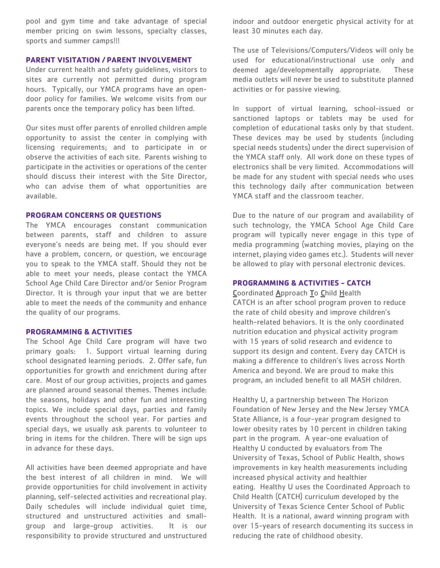pool and gym time and take advantage of special member pricing on swim lessons, specialty classes, sports and summer camps!!!

#### **PARENT VISITATION / PARENT INVOLVEMENT**

Under current health and safety guidelines, visitors to sites are currently not permitted during program hours. Typically, our YMCA programs have an opendoor policy for families. We welcome visits from our parents once the temporary policy has been lifted.

Our sites must offer parents of enrolled children ample opportunity to assist the center in complying with licensing requirements; and to participate in or observe the activities of each site. Parents wishing to participate in the activities or operations of the center should discuss their interest with the Site Director, who can advise them of what opportunities are available.

#### **PROGRAM CONCERNS OR QUESTIONS**

The YMCA encourages constant communication between parents, staff and children to assure everyone's needs are being met. If you should ever have a problem, concern, or question, we encourage you to speak to the YMCA staff. Should they not be able to meet your needs, please contact the YMCA School Age Child Care Director and/or Senior Program Director. It is through your input that we are better able to meet the needs of the community and enhance the quality of our programs.

#### **PROGRAMMING & ACTIVITIES**

The School Age Child Care program will have two primary goals: 1. Support virtual learning during school designated learning periods. 2. Offer safe, fun opportunities for growth and enrichment during after care. Most of our group activities, projects and games are planned around seasonal themes. Themes include: the seasons, holidays and other fun and interesting topics. We include special days, parties and family events throughout the school year. For parties and special days, we usually ask parents to volunteer to bring in items for the children. There will be sign ups in advance for these days.

All activities have been deemed appropriate and have the best interest of all children in mind. We will provide opportunities for child involvement in activity planning, self-selected activities and recreational play. Daily schedules will include individual quiet time, structured and unstructured activities and smallgroup and large-group activities. It is our responsibility to provide structured and unstructured

indoor and outdoor energetic physical activity for at least 30 minutes each day.

The use of Televisions/Computers/Videos will only be used for educational/instructional use only and deemed age/developmentally appropriate. These media outlets will never be used to substitute planned activities or for passive viewing.

In support of virtual learning, school-issued or sanctioned laptops or tablets may be used for completion of educational tasks only by that student. These devices may be used by students (including special needs students) under the direct supervision of the YMCA staff only. All work done on these types of electronics shall be very limited. Accommodations will be made for any student with special needs who uses this technology daily after communication between YMCA staff and the classroom teacher.

Due to the nature of our program and availability of such technology, the YMCA School Age Child Care program will typically never engage in this type of media programming (watching movies, playing on the internet, playing video games etc.). Students will never be allowed to play with personal electronic devices.

#### **PROGRAMMING & ACTIVITIES - CATCH**

#### Coordinated Approach To Child Health

CATCH is an after school program proven to reduce the rate of child obesity and improve children's health-related behaviors. It is the only coordinated nutrition education and physical activity program with 15 years of solid research and evidence to support its design and content. Every day CATCH is making a difference to children's lives across North America and beyond. We are proud to make this program, an included benefit to all MASH children.

Healthy U, a partnership between The Horizon Foundation of New Jersey and the New Jersey YMCA State Alliance, is a four-year program designed to lower obesity rates by 10 percent in children taking part in the program. A year-one evaluation of Healthy U conducted by evaluators from The University of Texas, School of Public Health, shows improvements in key health measurements including increased physical activity and healthier eating. Healthy U uses the Coordinated Approach to Child Health (CATCH) curriculum developed by the University of Texas Science Center School of Public Health. It is a national, award winning program with over 15-years of research documenting its success in reducing the rate of childhood obesity.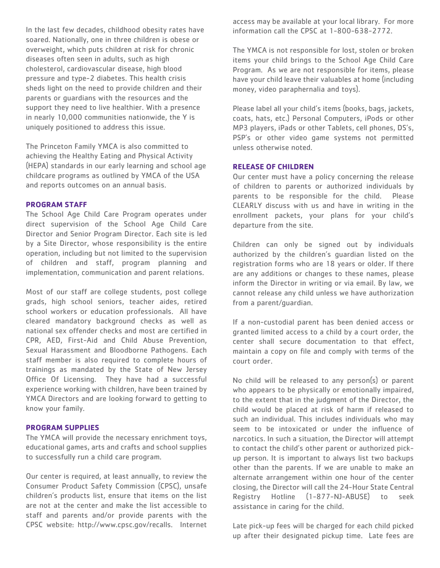In the last few decades, childhood obesity rates have soared. Nationally, one in three children is obese or overweight, which puts children at risk for chronic diseases often seen in adults, such as high cholesterol, cardiovascular disease, high blood pressure and type-2 diabetes. This health crisis sheds light on the need to provide children and their parents or guardians with the resources and the support they need to live healthier. With a presence in nearly 10,000 communities nationwide, the Y is uniquely positioned to address this issue.

The Princeton Family YMCA is also committed to achieving the Healthy Eating and Physical Activity (HEPA) standards in our early learning and school age childcare programs as outlined by YMCA of the USA and reports outcomes on an annual basis.

#### **PROGRAM STAFF**

The School Age Child Care Program operates under direct supervision of the School Age Child Care Director and Senior Program Director. Each site is led by a Site Director, whose responsibility is the entire operation, including but not limited to the supervision of children and staff, program planning and implementation, communication and parent relations.

Most of our staff are college students, post college grads, high school seniors, teacher aides, retired school workers or education professionals. All have cleared mandatory background checks as well as national sex offender checks and most are certified in CPR, AED, First-Aid and Child Abuse Prevention, Sexual Harassment and Bloodborne Pathogens. Each staff member is also required to complete hours of trainings as mandated by the State of New Jersey Office Of Licensing. They have had a successful experience working with children, have been trained by YMCA Directors and are looking forward to getting to know your family.

#### **PROGRAM SUPPLIES**

The YMCA will provide the necessary enrichment toys, educational games, arts and crafts and school supplies to successfully run a child care program.

Our center is required, at least annually, to review the Consumer Product Safety Commission (CPSC), unsafe children's products list, ensure that items on the list are not at the center and make the list accessible to staff and parents and/or provide parents with the CPSC website: http://www.cpsc.gov/recalls. Internet access may be available at your local library. For more information call the CPSC at 1-800-638-2772.

The YMCA is not responsible for lost, stolen or broken items your child brings to the School Age Child Care Program. As we are not responsible for items, please have your child leave their valuables at home (including money, video paraphernalia and toys).

Please label all your child's items (books, bags, jackets, coats, hats, etc.) Personal Computers, iPods or other MP3 players, iPads or other Tablets, cell phones, DS's, PSP's or other video game systems not permitted unless otherwise noted.

#### **RELEASE OF CHILDREN**

Our center must have a policy concerning the release of children to parents or authorized individuals by parents to be responsible for the child. Please CLEARLY discuss with us and have in writing in the enrollment packets, your plans for your child's departure from the site.

Children can only be signed out by individuals authorized by the children's guardian listed on the registration forms who are 18 years or older. If there are any additions or changes to these names, please inform the Director in writing or via email. By law, we cannot release any child unless we have authorization from a parent/guardian.

If a non-custodial parent has been denied access or granted limited access to a child by a court order, the center shall secure documentation to that effect, maintain a copy on file and comply with terms of the court order.

No child will be released to any person(s) or parent who appears to be physically or emotionally impaired, to the extent that in the judgment of the Director, the child would be placed at risk of harm if released to such an individual. This includes individuals who may seem to be intoxicated or under the influence of narcotics. In such a situation, the Director will attempt to contact the child's other parent or authorized pickup person. It is important to always list two backups other than the parents. If we are unable to make an alternate arrangement within one hour of the center closing, the Director will call the 24-Hour State Central Registry Hotline (1-877-NJ-ABUSE) to seek assistance in caring for the child.

Late pick-up fees will be charged for each child picked up after their designated pickup time. Late fees are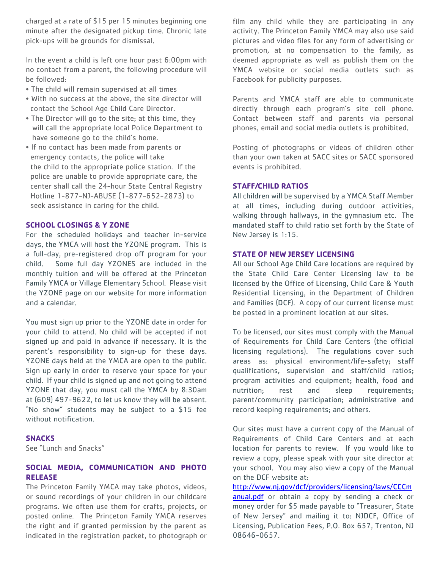charged at a rate of \$15 per 15 minutes beginning one minute after the designated pickup time. Chronic late pick-ups will be grounds for dismissal.

In the event a child is left one hour past 6:00pm with no contact from a parent, the following procedure will be followed:

- The child will remain supervised at all times
- With no success at the above, the site director will contact the School Age Child Care Director.
- The Director will go to the site; at this time, they will call the appropriate local Police Department to have someone go to the child's home.
- If no contact has been made from parents or emergency contacts, the police will take the child to the appropriate police station. If the police are unable to provide appropriate care, the center shall call the 24-hour State Central Registry Hotline 1-877-NJ-ABUSE (1-877-652-2873) to seek assistance in caring for the child.

#### **SCHOOL CLOSINGS & Y ZONE**

For the scheduled holidays and teacher in-service days, the YMCA will host the YZONE program. This is a full-day, pre-registered drop off program for your child. Some full day YZONES are included in the monthly tuition and will be offered at the Princeton Family YMCA or Village Elementary School. Please visit the YZONE page on our website for more information and a calendar.

You must sign up prior to the YZONE date in order for your child to attend. No child will be accepted if not signed up and paid in advance if necessary. It is the parent's responsibility to sign-up for these days. YZONE days held at the YMCA are open to the public. Sign up early in order to reserve your space for your child. If your child is signed up and not going to attend YZONE that day, you must call the YMCA by 8:30am at (609) 497-9622, to let us know they will be absent. "No show" students may be subject to a \$15 fee without notification.

#### **SNACKS**

See "Lunch and Snacks"

#### **SOCIAL MEDIA, COMMUNICATION AND PHOTO RELEASE**

The Princeton Family YMCA may take photos, videos, or sound recordings of your children in our childcare programs. We often use them for crafts, projects, or posted online. The Princeton Family YMCA reserves the right and if granted permission by the parent as indicated in the registration packet, to photograph or film any child while they are participating in any activity. The Princeton Family YMCA may also use said pictures and video files for any form of advertising or promotion, at no compensation to the family, as deemed appropriate as well as publish them on the YMCA website or social media outlets such as Facebook for publicity purposes.

Parents and YMCA staff are able to communicate directly through each program's site cell phone. Contact between staff and parents via personal phones, email and social media outlets is prohibited.

Posting of photographs or videos of children other than your own taken at SACC sites or SACC sponsored events is prohibited.

#### **STAFF/CHILD RATIOS**

All children will be supervised by a YMCA Staff Member at all times, including during outdoor activities, walking through hallways, in the gymnasium etc. The mandated staff to child ratio set forth by the State of New Jersey is 1:15.

#### **STATE OF NEW JERSEY LICENSING**

All our School Age Child Care locations are required by the State Child Care Center Licensing law to be licensed by the Office of Licensing, Child Care & Youth Residential Licensing, in the Department of Children and Families (DCF). A copy of our current license must be posted in a prominent location at our sites.

To be licensed, our sites must comply with the Manual of Requirements for Child Care Centers (the official licensing regulations). The regulations cover such areas as: physical environment/life-safety; staff qualifications, supervision and staff/child ratios; program activities and equipment; health, food and nutrition; rest and sleep requirements; parent/community participation; administrative and record keeping requirements; and others.

Our sites must have a current copy of the Manual of Requirements of Child Care Centers and at each location for parents to review. If you would like to review a copy, please speak with your site director at your school. You may also view a copy of the Manual on the DCF website at:

[http://www.nj.gov/dcf/providers/licensing/laws/CCCm](http://www.nj.gov/dcf/providers/licensing/laws/CCCmanual.pdf) [anual.pdf](http://www.nj.gov/dcf/providers/licensing/laws/CCCmanual.pdf) or obtain a copy by sending a check or money order for \$5 made payable to "Treasurer, State of New Jersey" and mailing it to: NJDCF, Office of Licensing, Publication Fees, P.O. Box 657, Trenton, NJ 08646-0657.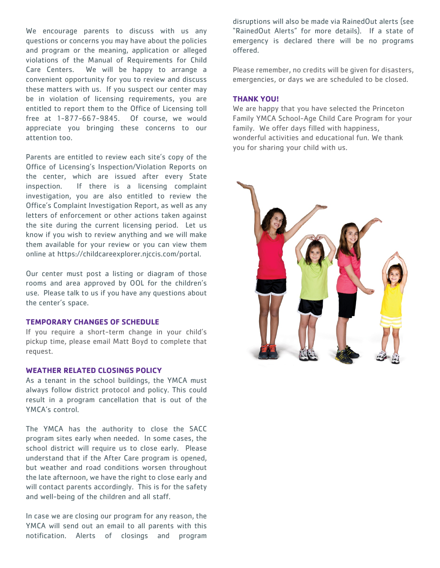We encourage parents to discuss with us any questions or concerns you may have about the policies and program or the meaning, application or alleged violations of the Manual of Requirements for Child Care Centers. We will be happy to arrange a convenient opportunity for you to review and discuss these matters with us. If you suspect our center may be in violation of licensing requirements, you are entitled to report them to the Office of Licensing toll free at 1-877-667-9845. Of course, we would appreciate you bringing these concerns to our attention too.

Parents are entitled to review each site's copy of the Office of Licensing's Inspection/Violation Reports on the center, which are issued after every State inspection. If there is a licensing complaint investigation, you are also entitled to review the Office's Complaint Investigation Report, as well as any letters of enforcement or other actions taken against the site during the current licensing period. Let us know if you wish to review anything and we will make them available for your review or you can view them online at https://childcareexplorer.njccis.com/portal.

Our center must post a listing or diagram of those rooms and area approved by OOL for the children's use. Please talk to us if you have any questions about the center's space.

#### **TEMPORARY CHANGES OF SCHEDULE**

If you require a short-term change in your child's pickup time, please email Matt Boyd to complete that request.

#### **WEATHER RELATED CLOSINGS POLICY**

As a tenant in the school buildings, the YMCA must always follow district protocol and policy. This could result in a program cancellation that is out of the YMCA's control.

The YMCA has the authority to close the SACC program sites early when needed. In some cases, the school district will require us to close early. Please understand that if the After Care program is opened, but weather and road conditions worsen throughout the late afternoon, we have the right to close early and will contact parents accordingly. This is for the safety and well-being of the children and all staff.

In case we are closing our program for any reason, the YMCA will send out an email to all parents with this notification. Alerts of closings and program disruptions will also be made via RainedOut alerts (see "RainedOut Alerts" for more details). If a state of emergency is declared there will be no programs offered.

Please remember, no credits will be given for disasters, emergencies, or days we are scheduled to be closed.

#### **THANK YOU!**

We are happy that you have selected the Princeton Family YMCA School-Age Child Care Program for your family. We offer days filled with happiness, wonderful activities and educational fun. We thank you for sharing your child with us.

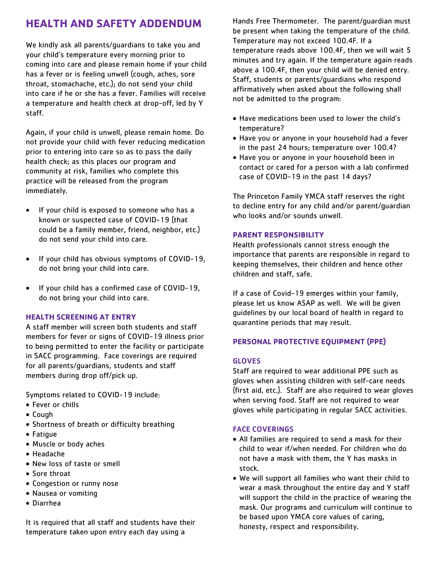## **HEALTH AND SAFETY ADDENDUM**

We kindly ask all parents/guardians to take you and your child's temperature every morning prior to coming into care and please remain home if your child has a fever or is feeling unwell (cough, aches, sore throat, stomachache, etc.); do not send your child into care if he or she has a fever. Families will receive a temperature and health check at drop-off, led by Y staff.

Again, if your child is unwell, please remain home. Do not provide your child with fever reducing medication prior to entering into care so as to pass the daily health check; as this places our program and community at risk, families who complete this practice will be released from the program immediately.

- If your child is exposed to someone who has a known or suspected case of COVID-19 (that could be a family member, friend, neighbor, etc.) do not send your child into care.
- If your child has obvious symptoms of COVID-19, do not bring your child into care.
- If your child has a confirmed case of COVID-19, do not bring your child into care.

#### **HEALTH SCREENING AT ENTRY**

A staff member will screen both students and staff members for fever or signs of COVID-19 illness prior to being permitted to enter the facility or participate in SACC programming. Face coverings are required for all parents/guardians, students and staff members during drop off/pick up.

Symptoms related to COVID-19 include:

- Fever or chills
- Cough
- Shortness of breath or difficulty breathing
- Fatigue
- Muscle or body aches
- Headache
- New loss of taste or smell
- Sore throat
- Congestion or runny nose
- Nausea or vomiting
- Diarrhea

It is required that all staff and students have their temperature taken upon entry each day using a

Hands Free Thermometer. The parent/guardian must be present when taking the temperature of the child. Temperature may not exceed 100.4F. If a temperature reads above 100.4F, then we will wait 5 minutes and try again. If the temperature again reads above a 100.4F, then your child will be denied entry. Staff, students or parents/guardians who respond affirmatively when asked about the following shall not be admitted to the program:

- Have medications been used to lower the child's temperature?
- Have you or anyone in your household had a fever in the past 24 hours; temperature over 100.4?
- Have you or anyone in your household been in contact or cared for a person with a lab confirmed case of COVID-19 in the past 14 days?

The Princeton Family YMCA staff reserves the right to decline entry for any child and/or parent/guardian who looks and/or sounds unwell.

#### **PARENT RESPONSIBILITY**

Health professionals cannot stress enough the importance that parents are responsible in regard to keeping themselves, their children and hence other children and staff, safe.

If a case of Covid-19 emerges within your family, please let us know ASAP as well. We will be given guidelines by our local board of health in regard to quarantine periods that may result.

#### **PERSONAL PROTECTIVE EQUIPMENT (PPE)**

#### GLOVES

Staff are required to wear additional PPE such as gloves when assisting children with self-care needs (first aid, etc.). Staff are also required to wear gloves when serving food. Staff are not required to wear gloves while participating in regular SACC activities.

#### FACE COVERINGS

- All families are required to send a mask for their child to wear if/when needed. For children who do not have a mask with them, the Y has masks in stock.
- We will support all families who want their child to wear a mask throughout the entire day and Y staff will support the child in the practice of wearing the mask. Our programs and curriculum will continue to be based upon YMCA core values of caring, honesty, respect and responsibility.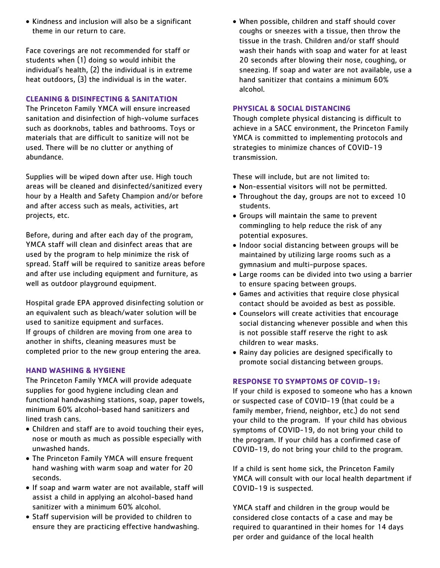• Kindness and inclusion will also be a significant theme in our return to care.

Face coverings are not recommended for staff or students when (1) doing so would inhibit the individual's health, (2) the individual is in extreme heat outdoors, (3) the individual is in the water.

#### **CLEANING & DISINFECTING & SANITATION**

The Princeton Family YMCA will ensure increased sanitation and disinfection of high-volume surfaces such as doorknobs, tables and bathrooms. Toys or materials that are difficult to sanitize will not be used. There will be no clutter or anything of abundance.

Supplies will be wiped down after use. High touch areas will be cleaned and disinfected/sanitized every hour by a Health and Safety Champion and/or before and after access such as meals, activities, art projects, etc.

Before, during and after each day of the program, YMCA staff will clean and disinfect areas that are used by the program to help minimize the risk of spread. Staff will be required to sanitize areas before and after use including equipment and furniture, as well as outdoor playground equipment.

Hospital grade EPA approved disinfecting solution or an equivalent such as bleach/water solution will be used to sanitize equipment and surfaces. If groups of children are moving from one area to another in shifts, cleaning measures must be completed prior to the new group entering the area.

#### **HAND WASHING & HYGIENE**

The Princeton Family YMCA will provide adequate supplies for good hygiene including clean and functional handwashing stations, soap, paper towels, minimum 60% alcohol-based hand sanitizers and lined trash cans.

- Children and staff are to avoid touching their eyes, nose or mouth as much as possible especially with unwashed hands.
- The Princeton Family YMCA will ensure frequent hand washing with warm soap and water for 20 seconds.
- If soap and warm water are not available, staff will assist a child in applying an alcohol-based hand sanitizer with a minimum 60% alcohol.
- Staff supervision will be provided to children to ensure they are practicing effective handwashing.

• When possible, children and staff should cover coughs or sneezes with a tissue, then throw the tissue in the trash. Children and/or staff should wash their hands with soap and water for at least 20 seconds after blowing their nose, coughing, or sneezing. If soap and water are not available, use a hand sanitizer that contains a minimum 60% alcohol.

#### **PHYSICAL & SOCIAL DISTANCING**

Though complete physical distancing is difficult to achieve in a SACC environment, the Princeton Family YMCA is committed to implementing protocols and strategies to minimize chances of COVID-19 transmission.

These will include, but are not limited to:

- Non-essential visitors will not be permitted.
- Throughout the day, groups are not to exceed 10 students.
- Groups will maintain the same to prevent commingling to help reduce the risk of any potential exposures.
- Indoor social distancing between groups will be maintained by utilizing large rooms such as a gymnasium and multi-purpose spaces.
- Large rooms can be divided into two using a barrier to ensure spacing between groups.
- Games and activities that require close physical contact should be avoided as best as possible.
- Counselors will create activities that encourage social distancing whenever possible and when this is not possible staff reserve the right to ask children to wear masks.
- Rainy day policies are designed specifically to promote social distancing between groups.

#### **RESPONSE TO SYMPTOMS OF COVID-19:**

If your child is exposed to someone who has a known or suspected case of COVID-19 (that could be a family member, friend, neighbor, etc.) do not send your child to the program. If your child has obvious symptoms of COVID-19, do not bring your child to the program. If your child has a confirmed case of COVID-19, do not bring your child to the program.

If a child is sent home sick, the Princeton Family YMCA will consult with our local health department if COVID-19 is suspected.

YMCA staff and children in the group would be considered close contacts of a case and may be required to quarantined in their homes for 14 days per order and guidance of the local health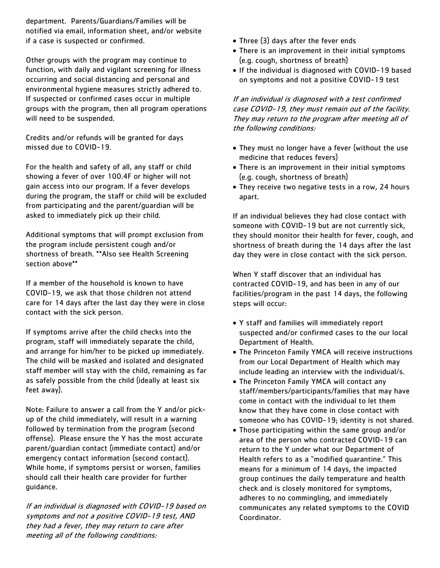department. Parents/Guardians/Families will be notified via email, information sheet, and/or website if a case is suspected or confirmed.

Other groups with the program may continue to function, with daily and vigilant screening for illness occurring and social distancing and personal and environmental hygiene measures strictly adhered to. If suspected or confirmed cases occur in multiple groups with the program, then all program operations will need to be suspended.

Credits and/or refunds will be granted for days missed due to COVID-19.

For the health and safety of all, any staff or child showing a fever of over 100.4F or higher will not gain access into our program. If a fever develops during the program, the staff or child will be excluded from participating and the parent/guardian will be asked to immediately pick up their child.

Additional symptoms that will prompt exclusion from the program include persistent cough and/or shortness of breath. \*\*Also see Health Screening section above\*\*

If a member of the household is known to have COVID-19, we ask that those children not attend care for 14 days after the last day they were in close contact with the sick person.

If symptoms arrive after the child checks into the program, staff will immediately separate the child, and arrange for him/her to be picked up immediately. The child will be masked and isolated and designated staff member will stay with the child, remaining as far as safely possible from the child (ideally at least six feet away).

Note: Failure to answer a call from the Y and/or pickup of the child immediately, will result in a warning followed by termination from the program (second offense). Please ensure the Y has the most accurate parent/guardian contact (immediate contact) and/or emergency contact information (second contact). While home, if symptoms persist or worsen, families should call their health care provider for further guidance.

If an individual is diagnosed with COVID-19 based on symptoms and not a positive COVID-19 test, AND they had a fever, they may return to care after meeting all of the following conditions:

- Three (3) days after the fever ends
- There is an improvement in their initial symptoms (e.g. cough, shortness of breath)
- If the individual is diagnosed with COVID-19 based on symptoms and not a positive COVID-19 test

If an individual is diagnosed with a test confirmed case COVID-19, they must remain out of the facility. They may return to the program after meeting all of the following conditions:

- They must no longer have a fever (without the use medicine that reduces fevers)
- There is an improvement in their initial symptoms (e.g. cough, shortness of breath)
- They receive two negative tests in a row, 24 hours apart.

If an individual believes they had close contact with someone with COVID-19 but are not currently sick, they should monitor their health for fever, cough, and shortness of breath during the 14 days after the last day they were in close contact with the sick person.

When Y staff discover that an individual has contracted COVID-19, and has been in any of our facilities/program in the past 14 days, the following steps will occur:

- Y staff and families will immediately report suspected and/or confirmed cases to the our local Department of Health.
- The Princeton Family YMCA will receive instructions from our Local Department of Health which may include leading an interview with the individual/s.
- The Princeton Family YMCA will contact any staff/members/participants/families that may have come in contact with the individual to let them know that they have come in close contact with someone who has COVID-19; identity is not shared.
- Those participating within the same group and/or area of the person who contracted COVID-19 can return to the Y under what our Department of Health refers to as a "modified quarantine." This means for a minimum of 14 days, the impacted group continues the daily temperature and health check and is closely monitored for symptoms, adheres to no commingling, and immediately communicates any related symptoms to the COVID Coordinator.